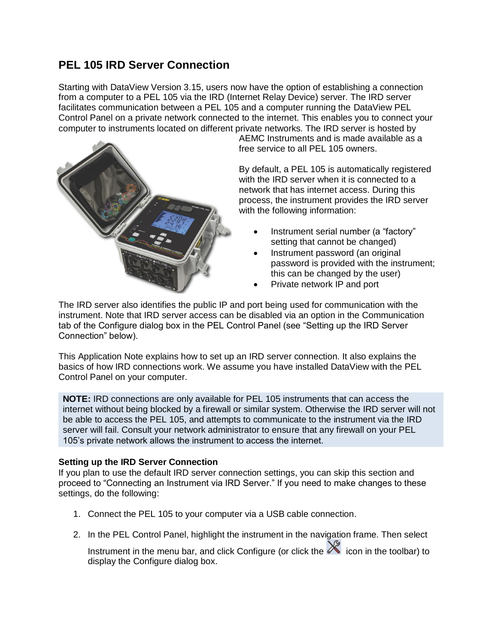# **PEL 105 IRD Server Connection**

Starting with DataView Version 3.15, users now have the option of establishing a connection from a computer to a PEL 105 via the IRD (Internet Relay Device) server. The IRD server facilitates communication between a PEL 105 and a computer running the DataView PEL Control Panel on a private network connected to the internet. This enables you to connect your computer to instruments located on different private networks. The IRD server is hosted by



AEMC Instruments and is made available as a free service to all PEL 105 owners.

By default, a PEL 105 is automatically registered with the IRD server when it is connected to a network that has internet access. During this process, the instrument provides the IRD server with the following information:

- Instrument serial number (a "factory" setting that cannot be changed)
- Instrument password (an original password is provided with the instrument; this can be changed by the user)
- Private network IP and port

The IRD server also identifies the public IP and port being used for communication with the instrument. Note that IRD server access can be disabled via an option in the Communication tab of the Configure dialog box in the PEL Control Panel (see "Setting up the IRD Server Connection" below).

This Application Note explains how to set up an IRD server connection. It also explains the basics of how IRD connections work. We assume you have installed DataView with the PEL Control Panel on your computer.

**NOTE:** IRD connections are only available for PEL 105 instruments that can access the internet without being blocked by a firewall or similar system. Otherwise the IRD server will not be able to access the PEL 105, and attempts to communicate to the instrument via the IRD server will fail. Consult your network administrator to ensure that any firewall on your PEL 105's private network allows the instrument to access the internet.

## **Setting up the IRD Server Connection**

If you plan to use the default IRD server connection settings, you can skip this section and proceed to "Connecting an Instrument via IRD Server." If you need to make changes to these settings, do the following:

- 1. Connect the PEL 105 to your computer via a USB cable connection.
- 2. In the PEL Control Panel, highlight the instrument in the navigation frame. Then select

Instrument in the menu bar, and click Configure (or click the  $\mathbb X$  icon in the toolbar) to display the Configure dialog box.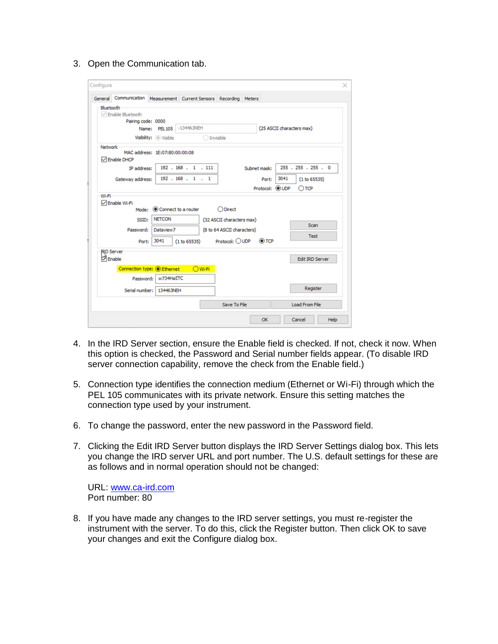3. Open the Communication tab.

|                   | General Communication Measurement Current Sensors Recording Meters |                                |                         |                  |                                                         |  |                           |                |                        |  |
|-------------------|--------------------------------------------------------------------|--------------------------------|-------------------------|------------------|---------------------------------------------------------|--|---------------------------|----------------|------------------------|--|
| Bluetooth         |                                                                    |                                |                         |                  |                                                         |  |                           |                |                        |  |
|                   | <b>▽ Enable Bluetooth</b>                                          |                                |                         |                  |                                                         |  |                           |                |                        |  |
|                   | Pairing code: 0000                                                 |                                |                         |                  |                                                         |  |                           |                |                        |  |
|                   |                                                                    |                                | Name: PEL105 -134463NEH |                  |                                                         |  | (25 ASCII characters max) |                |                        |  |
|                   |                                                                    | Visibility: O Visible          |                         | <b>Invisible</b> |                                                         |  |                           |                |                        |  |
| Network -         |                                                                    |                                |                         |                  |                                                         |  |                           |                |                        |  |
|                   |                                                                    | MAC address: 1E:07:80:00:00:08 |                         |                  |                                                         |  |                           |                |                        |  |
|                   | □ Enable DHCP                                                      |                                |                         |                  |                                                         |  |                           |                |                        |  |
|                   | IP address:                                                        |                                | 192.168.1.111           |                  |                                                         |  | Subnet mask:              |                | 255 . 255 . 255 . 0    |  |
|                   | Gateway address:                                                   |                                | 192.168.1.1             |                  |                                                         |  | Port:                     | 3041           | (1 to 65535)           |  |
|                   |                                                                    |                                |                         |                  |                                                         |  |                           |                |                        |  |
| Wi-Fi             | <b>DEnable Wi-Fi</b>                                               | Mode: Connect to a router      |                         |                  | $\bigcirc$ Direct                                       |  |                           | Protocol: OUDP | $\bigcirc$ TCP         |  |
|                   | SSID:<br>Password:                                                 | <b>NETCON</b><br>Dataview7     |                         |                  | (32 ASCII characters max)<br>(8 to 64 ASCII characters) |  |                           |                | Scan<br><b>Test</b>    |  |
|                   | Port:                                                              | 3041                           | (1 to 65535)            |                  | Protocol: $\bigcirc$ UDP                                |  | $\circledcirc$ TCP        |                |                        |  |
| <b>JRD Server</b> |                                                                    |                                |                         |                  |                                                         |  |                           |                |                        |  |
| <b>D</b> Enable   |                                                                    |                                |                         |                  |                                                         |  |                           |                | <b>Edit IRD Server</b> |  |
|                   | Connection type: O Ethernet                                        |                                |                         | OWF1             |                                                         |  |                           |                |                        |  |
|                   | Password:                                                          | w734HaETC                      |                         |                  |                                                         |  |                           |                |                        |  |
|                   |                                                                    | Serial number:   134463NEH     |                         |                  |                                                         |  |                           |                | Register               |  |

- 4. In the IRD Server section, ensure the Enable field is checked. If not, check it now. When this option is checked, the Password and Serial number fields appear. (To disable IRD server connection capability, remove the check from the Enable field.)
- 5. Connection type identifies the connection medium (Ethernet or Wi-Fi) through which the PEL 105 communicates with its private network. Ensure this setting matches the connection type used by your instrument.
- 6. To change the password, enter the new password in the Password field.
- 7. Clicking the Edit IRD Server button displays the IRD Server Settings dialog box. This lets you change the IRD server URL and port number. The U.S. default settings for these are as follows and in normal operation should not be changed:

URL: [www.ca-ird.com](http://www.ca-ird.com/) Port number: 80

8. If you have made any changes to the IRD server settings, you must re-register the instrument with the server. To do this, click the Register button. Then click OK to save your changes and exit the Configure dialog box.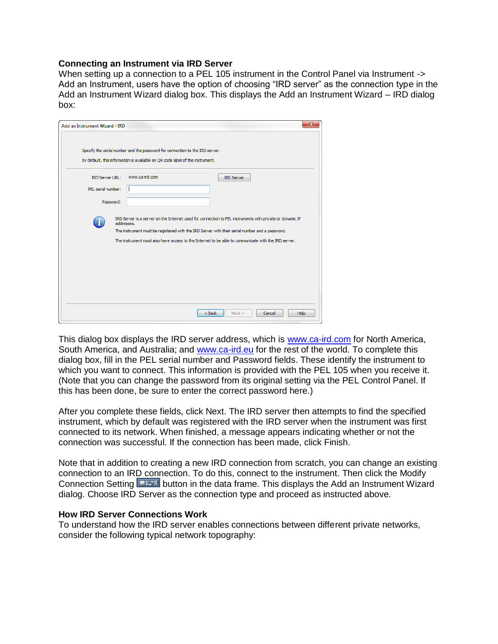### **Connecting an Instrument via IRD Server**

When setting up a connection to a PEL 105 instrument in the Control Panel via Instrument -> Add an Instrument, users have the option of choosing "IRD server" as the connection type in the Add an Instrument Wizard dialog box. This displays the Add an Instrument Wizard – IRD dialog box:

| Add an Instrument Wizard - IRD                            |                                                                                                                                                               | $\mathbf{x}$                                                                                                                                                                                                    |
|-----------------------------------------------------------|---------------------------------------------------------------------------------------------------------------------------------------------------------------|-----------------------------------------------------------------------------------------------------------------------------------------------------------------------------------------------------------------|
|                                                           | Specify the serial number and the password for connection to the IRD server.<br>By default, this information is available on QR code label of the instrument. |                                                                                                                                                                                                                 |
| <b>IRD Server URL:</b><br>PEL serial number:<br>Password: | www.ca-ird.com                                                                                                                                                | <b>IRD Server</b>                                                                                                                                                                                               |
| addresses.                                                | The instrument must be registered with the IRD Server with their serial number and a password.                                                                | IRD Server is a server on the Internet used for connection to PEL instruments with private or dynamic IP<br>The instrument must also have access to the Internet to be able to communicate with the IRD server. |
|                                                           |                                                                                                                                                               | $<$ Back<br>Help<br>Next<br>Cancel                                                                                                                                                                              |

This dialog box displays the IRD server address, which is [www.ca-ird.com](http://www.ca-ird.com/) for North America, South America, and Australia; and [www.ca-ird.eu](http://www.ca-ird.eu/) for the rest of the world. To complete this dialog box, fill in the PEL serial number and Password fields. These identify the instrument to which you want to connect. This information is provided with the PEL 105 when you receive it. (Note that you can change the password from its original setting via the PEL Control Panel. If this has been done, be sure to enter the correct password here.)

After you complete these fields, click Next. The IRD server then attempts to find the specified instrument, which by default was registered with the IRD server when the instrument was first connected to its network. When finished, a message appears indicating whether or not the connection was successful. If the connection has been made, click Finish.

Note that in addition to creating a new IRD connection from scratch, you can change an existing connection to an IRD connection. To do this, connect to the instrument. Then click the Modify Connection Setting **Button in the data frame. This displays the Add an Instrument Wizard** dialog. Choose IRD Server as the connection type and proceed as instructed above.

### **How IRD Server Connections Work**

To understand how the IRD server enables connections between different private networks, consider the following typical network topography: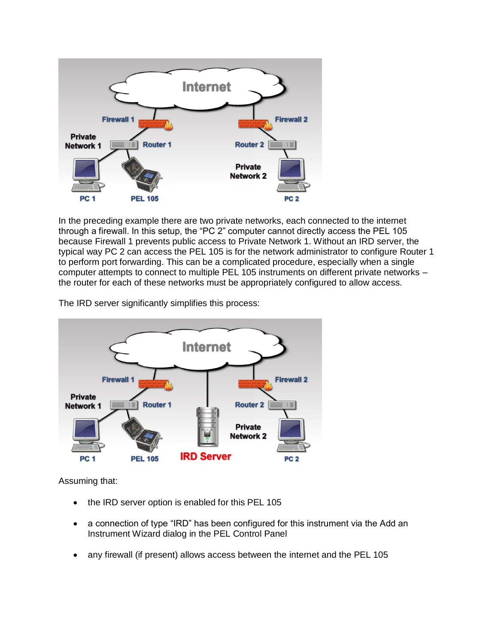

In the preceding example there are two private networks, each connected to the internet through a firewall. In this setup, the "PC 2" computer cannot directly access the PEL 105 because Firewall 1 prevents public access to Private Network 1. Without an IRD server, the typical way PC 2 can access the PEL 105 is for the network administrator to configure Router 1 to perform port forwarding. This can be a complicated procedure, especially when a single computer attempts to connect to multiple PEL 105 instruments on different private networks – the router for each of these networks must be appropriately configured to allow access.

The IRD server significantly simplifies this process:



Assuming that:

- the IRD server option is enabled for this PEL 105
- a connection of type "IRD" has been configured for this instrument via the Add an Instrument Wizard dialog in the PEL Control Panel
- any firewall (if present) allows access between the internet and the PEL 105